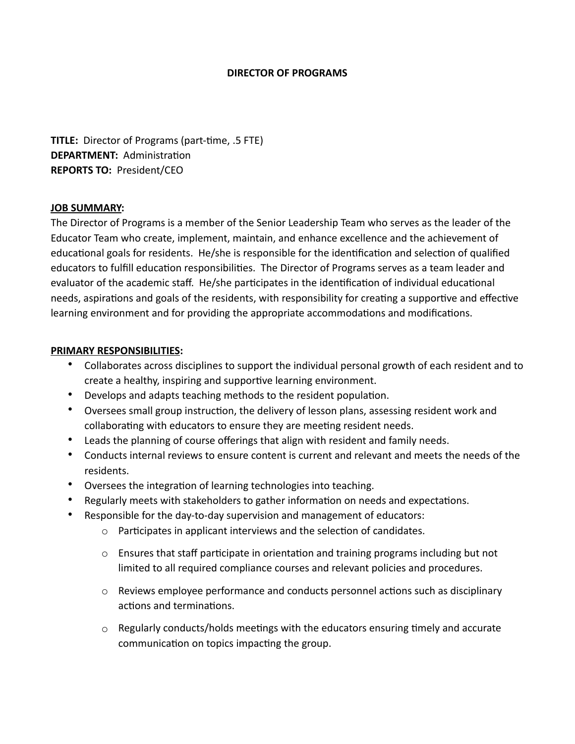### **DIRECTOR OF PROGRAMS**

**TITLE:** Director of Programs (part-time, .5 FTE) **DEPARTMENT:** Administration **REPORTS TO:** President/CEO

### **JOB SUMMARY:**

The Director of Programs is a member of the Senior Leadership Team who serves as the leader of the Educator Team who create, implement, maintain, and enhance excellence and the achievement of educational goals for residents. He/she is responsible for the identification and selection of qualified educators to fulfill education responsibilities. The Director of Programs serves as a team leader and evaluator of the academic staff. He/she participates in the identification of individual educational needs, aspirations and goals of the residents, with responsibility for creating a supportive and effective learning environment and for providing the appropriate accommodations and modifications.

### **PRIMARY RESPONSIBILITIES:**

- Collaborates across disciplines to support the individual personal growth of each resident and to create a healthy, inspiring and supportive learning environment.
- Develops and adapts teaching methods to the resident population.
- Oversees small group instruction, the delivery of lesson plans, assessing resident work and collaborating with educators to ensure they are meeting resident needs.
- Leads the planning of course offerings that align with resident and family needs.
- Conducts internal reviews to ensure content is current and relevant and meets the needs of the residents.
- Oversees the integration of learning technologies into teaching.
- Regularly meets with stakeholders to gather information on needs and expectations.
- Responsible for the day-to-day supervision and management of educators:
	- o Participates in applicant interviews and the selection of candidates.
	- $\circ$  Ensures that staff participate in orientation and training programs including but not limited to all required compliance courses and relevant policies and procedures.
	- o Reviews employee performance and conducts personnel actions such as disciplinary actions and terminations.
	- $\circ$  Regularly conducts/holds meetings with the educators ensuring timely and accurate communication on topics impacting the group.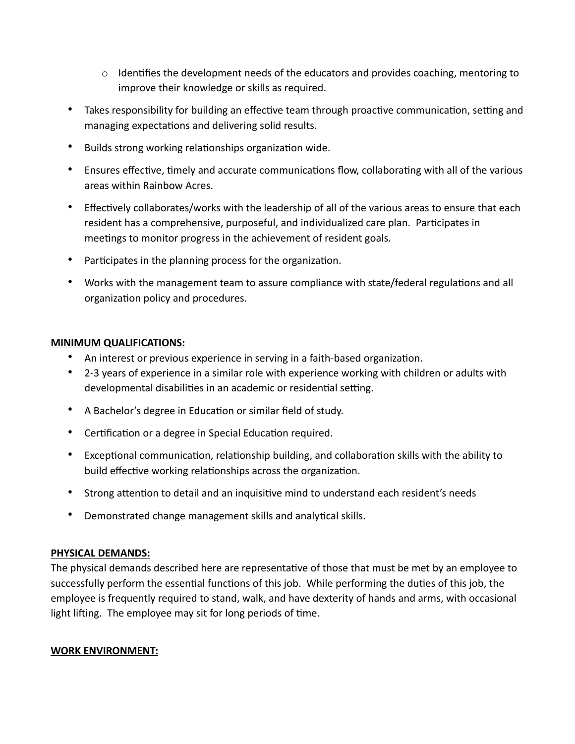- $\circ$  Identifies the development needs of the educators and provides coaching, mentoring to improve their knowledge or skills as required.
- Takes responsibility for building an effective team through proactive communication, setting and managing expectations and delivering solid results.
- Builds strong working relationships organization wide.
- Ensures effective, timely and accurate communications flow, collaborating with all of the various areas within Rainbow Acres.
- Effectively collaborates/works with the leadership of all of the various areas to ensure that each resident has a comprehensive, purposeful, and individualized care plan. Participates in meetings to monitor progress in the achievement of resident goals.
- Participates in the planning process for the organization.
- Works with the management team to assure compliance with state/federal regulations and all organization policy and procedures.

## **MINIMUM QUALIFICATIONS:**

- An interest or previous experience in serving in a faith-based organization.
- 2-3 years of experience in a similar role with experience working with children or adults with developmental disabilities in an academic or residential setting.
- A Bachelor's degree in Education or similar field of study.
- Certification or a degree in Special Education required.
- Exceptional communication, relationship building, and collaboration skills with the ability to build effective working relationships across the organization.
- Strong attention to detail and an inquisitive mind to understand each resident's needs
- Demonstrated change management skills and analytical skills.

# **PHYSICAL DEMANDS:**

The physical demands described here are representative of those that must be met by an employee to successfully perform the essential functions of this job. While performing the duties of this job, the employee is frequently required to stand, walk, and have dexterity of hands and arms, with occasional light lifting. The employee may sit for long periods of time.

### **WORK ENVIRONMENT:**